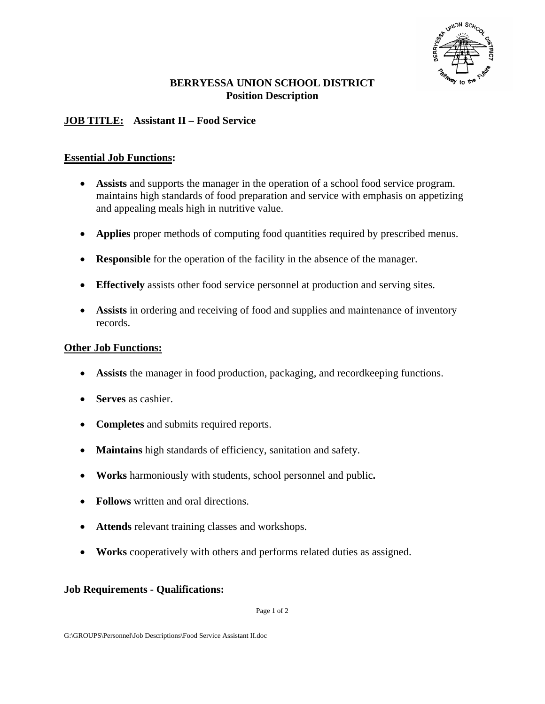

## **BERRYESSA UNION SCHOOL DISTRICT Position Description**

# **JOB TITLE: Assistant II – Food Service**

### **Essential Job Functions:**

- **Assists** and supports the manager in the operation of a school food service program. maintains high standards of food preparation and service with emphasis on appetizing and appealing meals high in nutritive value.
- **Applies** proper methods of computing food quantities required by prescribed menus.
- **Responsible** for the operation of the facility in the absence of the manager.
- **Effectively** assists other food service personnel at production and serving sites.
- Assists in ordering and receiving of food and supplies and maintenance of inventory records.

## **Other Job Functions:**

- **Assists** the manager in food production, packaging, and recordkeeping functions.
- **Serves** as cashier.
- **Completes** and submits required reports.
- **Maintains** high standards of efficiency, sanitation and safety.
- **Works** harmoniously with students, school personnel and public**.**
- **Follows** written and oral directions.
- **Attends** relevant training classes and workshops.
- **Works** cooperatively with others and performs related duties as assigned.

### **Job Requirements - Qualifications:**

Page 1 of 2